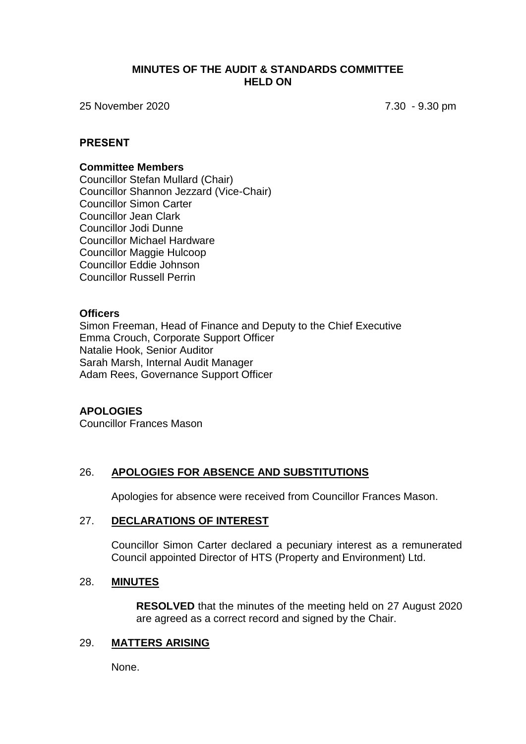#### **MINUTES OF THE AUDIT & STANDARDS COMMITTEE HELD ON**

25 November 2020 7.30 - 9.30 pm

#### **PRESENT**

#### **Committee Members**

Councillor Stefan Mullard (Chair) Councillor Shannon Jezzard (Vice-Chair) Councillor Simon Carter Councillor Jean Clark Councillor Jodi Dunne Councillor Michael Hardware Councillor Maggie Hulcoop Councillor Eddie Johnson Councillor Russell Perrin

#### **Officers**

Simon Freeman, Head of Finance and Deputy to the Chief Executive Emma Crouch, Corporate Support Officer Natalie Hook, Senior Auditor Sarah Marsh, Internal Audit Manager Adam Rees, Governance Support Officer

#### **APOLOGIES**

Councillor Frances Mason

## 26. **APOLOGIES FOR ABSENCE AND SUBSTITUTIONS**

Apologies for absence were received from Councillor Frances Mason.

#### 27. **DECLARATIONS OF INTEREST**

Councillor Simon Carter declared a pecuniary interest as a remunerated Council appointed Director of HTS (Property and Environment) Ltd.

#### 28. **MINUTES**

**RESOLVED** that the minutes of the meeting held on 27 August 2020 are agreed as a correct record and signed by the Chair.

#### 29. **MATTERS ARISING**

None.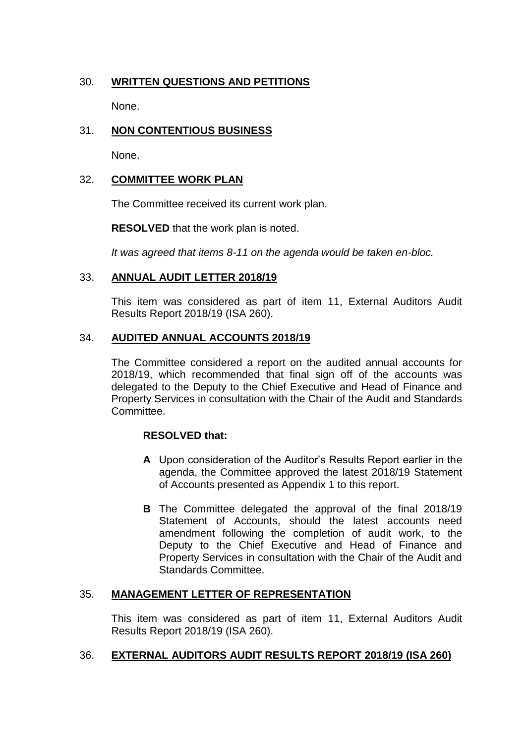# 30. **WRITTEN QUESTIONS AND PETITIONS**

None.

# 31. **NON CONTENTIOUS BUSINESS**

None.

# 32. **COMMITTEE WORK PLAN**

The Committee received its current work plan.

**RESOLVED** that the work plan is noted.

*It was agreed that items 8-11 on the agenda would be taken en-bloc.*

#### 33. **ANNUAL AUDIT LETTER 2018/19**

This item was considered as part of item 11, External Auditors Audit Results Report 2018/19 (ISA 260).

## 34. **AUDITED ANNUAL ACCOUNTS 2018/19**

The Committee considered a report on the audited annual accounts for 2018/19, which recommended that final sign off of the accounts was delegated to the Deputy to the Chief Executive and Head of Finance and Property Services in consultation with the Chair of the Audit and Standards Committee.

## **RESOLVED that:**

- **A** Upon consideration of the Auditor's Results Report earlier in the agenda, the Committee approved the latest 2018/19 Statement of Accounts presented as Appendix 1 to this report.
- **B** The Committee delegated the approval of the final 2018/19 Statement of Accounts, should the latest accounts need amendment following the completion of audit work, to the Deputy to the Chief Executive and Head of Finance and Property Services in consultation with the Chair of the Audit and Standards Committee.

## 35. **MANAGEMENT LETTER OF REPRESENTATION**

This item was considered as part of item 11, External Auditors Audit Results Report 2018/19 (ISA 260).

## 36. **EXTERNAL AUDITORS AUDIT RESULTS REPORT 2018/19 (ISA 260)**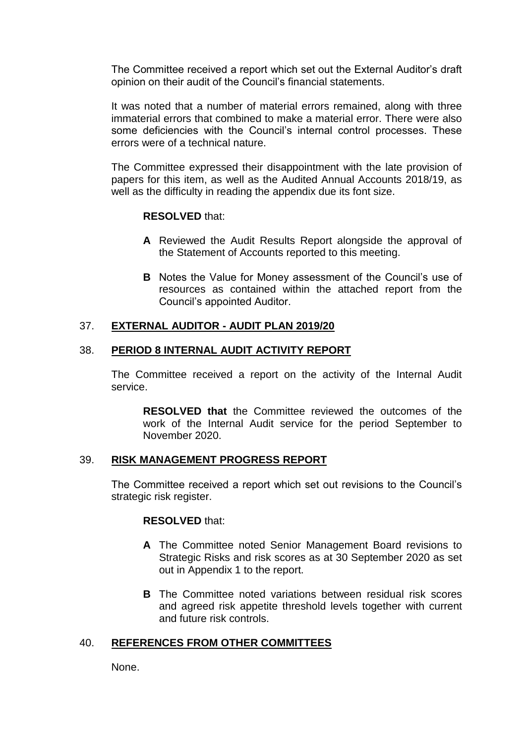The Committee received a report which set out the External Auditor's draft opinion on their audit of the Council's financial statements.

It was noted that a number of material errors remained, along with three immaterial errors that combined to make a material error. There were also some deficiencies with the Council's internal control processes. These errors were of a technical nature.

The Committee expressed their disappointment with the late provision of papers for this item, as well as the Audited Annual Accounts 2018/19, as well as the difficulty in reading the appendix due its font size.

## **RESOLVED** that:

- **A** Reviewed the Audit Results Report alongside the approval of the Statement of Accounts reported to this meeting.
- **B** Notes the Value for Money assessment of the Council's use of resources as contained within the attached report from the Council's appointed Auditor.

# 37. **EXTERNAL AUDITOR - AUDIT PLAN 2019/20**

## 38. **PERIOD 8 INTERNAL AUDIT ACTIVITY REPORT**

The Committee received a report on the activity of the Internal Audit service.

**RESOLVED that** the Committee reviewed the outcomes of the work of the Internal Audit service for the period September to November 2020.

## 39. **RISK MANAGEMENT PROGRESS REPORT**

The Committee received a report which set out revisions to the Council's strategic risk register.

## **RESOLVED** that:

- **A** The Committee noted Senior Management Board revisions to Strategic Risks and risk scores as at 30 September 2020 as set out in Appendix 1 to the report.
- **B** The Committee noted variations between residual risk scores and agreed risk appetite threshold levels together with current and future risk controls.

# 40. **REFERENCES FROM OTHER COMMITTEES**

None.